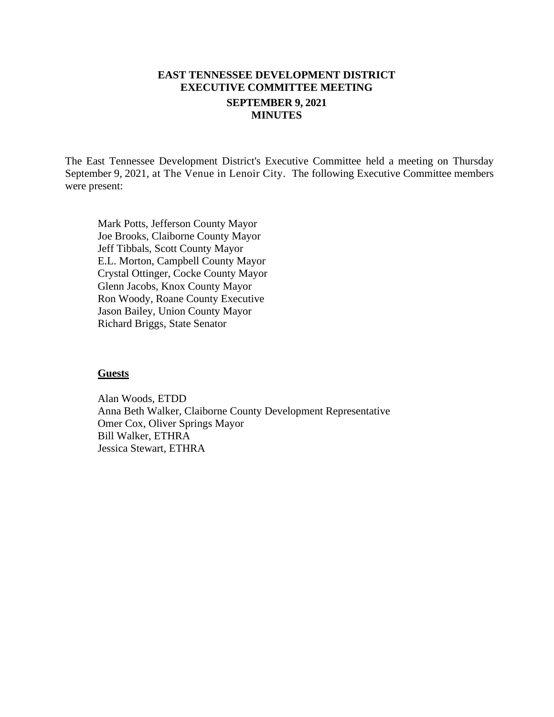## **EAST TENNESSEE DEVELOPMENT DISTRICT EXECUTIVE COMMITTEE MEETING SEPTEMBER 9, 2021 MINUTES**

The East Tennessee Development District's Executive Committee held a meeting on Thursday September 9, 2021, at The Venue in Lenoir City. The following Executive Committee members were present:

Mark Potts, Jefferson County Mayor Joe Brooks, Claiborne County Mayor Jeff Tibbals, Scott County Mayor E.L. Morton, Campbell County Mayor Crystal Ottinger, Cocke County Mayor Glenn Jacobs, Knox County Mayor Ron Woody, Roane County Executive Jason Bailey, Union County Mayor Richard Briggs, State Senator

#### **Guests**

Alan Woods, ETDD Anna Beth Walker, Claiborne County Development Representative Omer Cox, Oliver Springs Mayor Bill Walker, ETHRA Jessica Stewart, ETHRA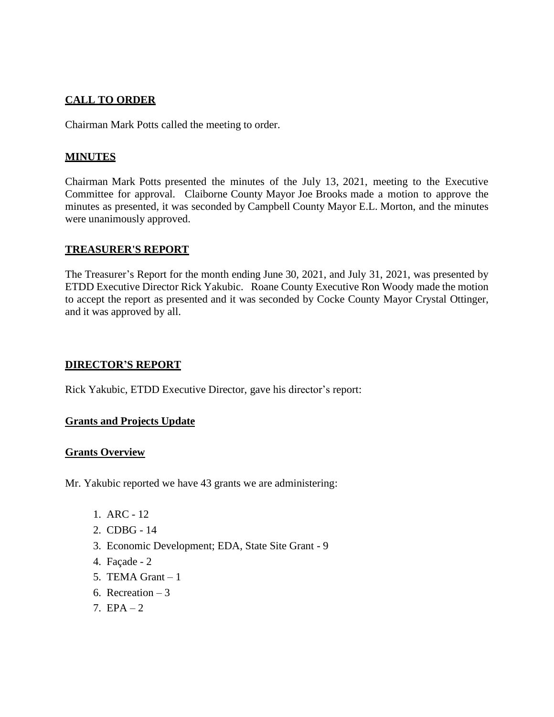## **CALL TO ORDER**

Chairman Mark Potts called the meeting to order.

## **MINUTES**

Chairman Mark Potts presented the minutes of the July 13, 2021, meeting to the Executive Committee for approval. Claiborne County Mayor Joe Brooks made a motion to approve the minutes as presented, it was seconded by Campbell County Mayor E.L. Morton, and the minutes were unanimously approved.

## **TREASURER'S REPORT**

The Treasurer's Report for the month ending June 30, 2021, and July 31, 2021, was presented by ETDD Executive Director Rick Yakubic. Roane County Executive Ron Woody made the motion to accept the report as presented and it was seconded by Cocke County Mayor Crystal Ottinger, and it was approved by all.

## **DIRECTOR'S REPORT**

Rick Yakubic, ETDD Executive Director, gave his director's report:

## **Grants and Projects Update**

## **Grants Overview**

Mr. Yakubic reported we have 43 grants we are administering:

- 1. ARC 12
- 2. CDBG 14
- 3. Economic Development; EDA, State Site Grant 9
- 4. Façade 2
- 5. TEMA Grant  $-1$
- 6. Recreation  $-3$
- 7.  $EPA 2$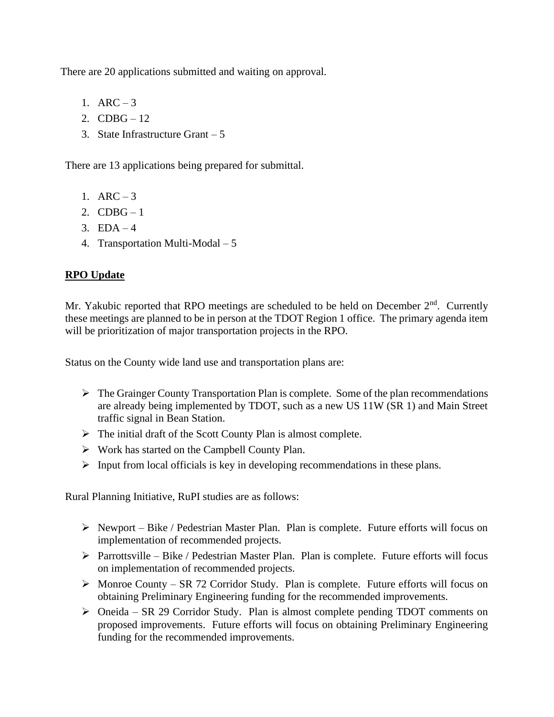There are 20 applications submitted and waiting on approval.

- 1.  $ARC-3$
- 2.  $CDBG 12$
- 3. State Infrastructure Grant 5

There are 13 applications being prepared for submittal.

- 1.  $ARC-3$
- 2.  $CDBG-1$
- 3.  $EDA 4$
- 4. Transportation Multi-Modal 5

# **RPO Update**

Mr. Yakubic reported that RPO meetings are scheduled to be held on December  $2<sup>nd</sup>$ . Currently these meetings are planned to be in person at the TDOT Region 1 office. The primary agenda item will be prioritization of major transportation projects in the RPO.

Status on the County wide land use and transportation plans are:

- ➢ The Grainger County Transportation Plan is complete. Some of the plan recommendations are already being implemented by TDOT, such as a new US 11W (SR 1) and Main Street traffic signal in Bean Station.
- $\triangleright$  The initial draft of the Scott County Plan is almost complete.
- ➢ Work has started on the Campbell County Plan.
- $\triangleright$  Input from local officials is key in developing recommendations in these plans.

Rural Planning Initiative, RuPI studies are as follows:

- ➢ Newport Bike / Pedestrian Master Plan. Plan is complete. Future efforts will focus on implementation of recommended projects.
- ➢ Parrottsville Bike / Pedestrian Master Plan. Plan is complete. Future efforts will focus on implementation of recommended projects.
- ➢ Monroe County SR 72 Corridor Study. Plan is complete. Future efforts will focus on obtaining Preliminary Engineering funding for the recommended improvements.
- ➢ Oneida SR 29 Corridor Study. Plan is almost complete pending TDOT comments on proposed improvements. Future efforts will focus on obtaining Preliminary Engineering funding for the recommended improvements.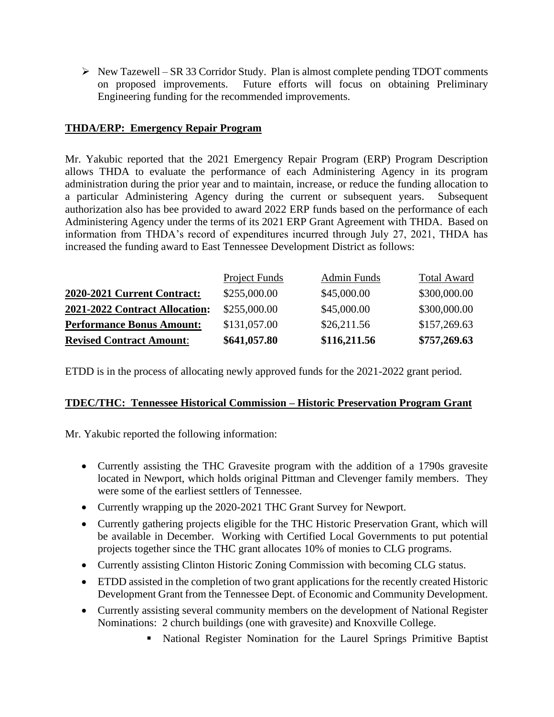➢ New Tazewell – SR 33 Corridor Study. Plan is almost complete pending TDOT comments on proposed improvements. Future efforts will focus on obtaining Preliminary Engineering funding for the recommended improvements.

### **THDA/ERP: Emergency Repair Program**

Mr. Yakubic reported that the 2021 Emergency Repair Program (ERP) Program Description allows THDA to evaluate the performance of each Administering Agency in its program administration during the prior year and to maintain, increase, or reduce the funding allocation to a particular Administering Agency during the current or subsequent years. Subsequent authorization also has bee provided to award 2022 ERP funds based on the performance of each Administering Agency under the terms of its 2021 ERP Grant Agreement with THDA. Based on information from THDA's record of expenditures incurred through July 27, 2021, THDA has increased the funding award to East Tennessee Development District as follows:

| <b>Revised Contract Amount:</b>  | \$641,057.80  | \$116,211.56       | \$757,269.63       |
|----------------------------------|---------------|--------------------|--------------------|
| <b>Performance Bonus Amount:</b> | \$131,057.00  | \$26,211.56        | \$157,269.63       |
| 2021-2022 Contract Allocation:   | \$255,000.00  | \$45,000.00        | \$300,000.00       |
| 2020-2021 Current Contract:      | \$255,000.00  | \$45,000.00        | \$300,000.00       |
|                                  | Project Funds | <b>Admin Funds</b> | <b>Total Award</b> |

ETDD is in the process of allocating newly approved funds for the 2021-2022 grant period.

## **TDEC/THC: Tennessee Historical Commission – Historic Preservation Program Grant**

Mr. Yakubic reported the following information:

- Currently assisting the THC Gravesite program with the addition of a 1790s gravesite located in Newport, which holds original Pittman and Clevenger family members. They were some of the earliest settlers of Tennessee.
- Currently wrapping up the 2020-2021 THC Grant Survey for Newport.
- Currently gathering projects eligible for the THC Historic Preservation Grant, which will be available in December. Working with Certified Local Governments to put potential projects together since the THC grant allocates 10% of monies to CLG programs.
- Currently assisting Clinton Historic Zoning Commission with becoming CLG status.
- ETDD assisted in the completion of two grant applications for the recently created Historic Development Grant from the Tennessee Dept. of Economic and Community Development.
- Currently assisting several community members on the development of National Register Nominations: 2 church buildings (one with gravesite) and Knoxville College.
	- National Register Nomination for the Laurel Springs Primitive Baptist